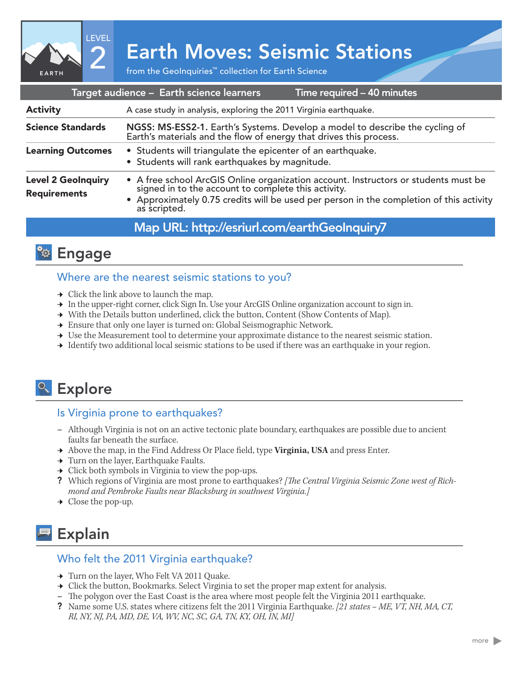

# 2 Earth Moves: Seismic Stations

| Target audience - Earth science learners<br>Time required - 40 minutes |                                                                                                                                                                                                                                                    |
|------------------------------------------------------------------------|----------------------------------------------------------------------------------------------------------------------------------------------------------------------------------------------------------------------------------------------------|
| <b>Activity</b>                                                        | A case study in analysis, exploring the 2011 Virginia earthquake.                                                                                                                                                                                  |
| <b>Science Standards</b>                                               | NGSS: MS-ESS2-1. Earth's Systems. Develop a model to describe the cycling of Earth's materials and the flow of energy that drives this process.                                                                                                    |
| <b>Learning Outcomes</b>                                               | • Students will triangulate the epicenter of an earthquake.<br>• Students will rank earthquakes by magnitude.                                                                                                                                      |
| <b>Level 2 GeoInquiry</b><br><b>Requirements</b>                       | • A free school ArcGIS Online organization account. Instructors or students must be signed in to the account to complete this activity.<br>• Approximately 0.75 credits will be used per person in the completion of this activity<br>as scripted. |
|                                                                        |                                                                                                                                                                                                                                                    |

## Map URL: http://esriurl.com/earthGeoInquiry/



#### Where are the nearest seismic stations to you?

- $\rightarrow$  Click the link above to launch the map.
- → In the upper-right corner, click Sign In. Use your ArcGIS Online organization account to sign in.
- → With the Details button underlined, click the button, Content (Show Contents of Map).
- → Ensure that only one layer is turned on: Global Seismographic Network.
- → Use the Measurement tool to determine your approximate distance to the nearest seismic station.
- → Identify two additional local seismic stations to be used if there was an earthquake in your region.

## <sup>o</sup> Explore

#### Is Virginia prone to earthquakes?

- **–** Although Virginia is not on an active tectonic plate boundary, earthquakes are possible due to ancient faults far beneath the surface.
- ʅ Above the map, in the Find Address Or Place field, type **Virginia, USA** and press Enter.
- → Turn on the layer, Earthquake Faults.
- $\rightarrow$  Click both symbols in Virginia to view the pop-ups.
- ? Which regions of Virginia are most prone to earthquakes? *[The Central Virginia Seismic Zone west of Richmond and Pembroke Faults near Blacksburg in southwest Virginia.]*
- $\rightarrow$  Close the pop-up.

## **Explain**

#### Who felt the 2011 Virginia earthquake?

- → Turn on the layer, Who Felt VA 2011 Quake.
- → Click the button, Bookmarks. Select Virginia to set the proper map extent for analysis.
- **–** The polygon over the East Coast is the area where most people felt the Virginia 2011 earthquake.
- ? Name some U.S. states where citizens felt the 2011 Virginia Earthquake. *[21 states ME, VT, NH, MA, CT, RI, NY, NJ, PA, MD, DE, VA, WV, NC, SC, GA, TN, KY, OH, IN, MI]*